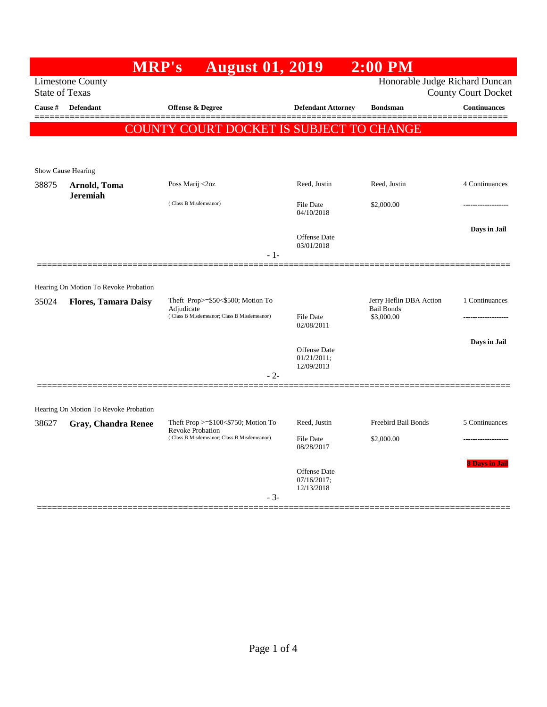|                       |                                       | <b>MRP's</b>                                                       | <b>August 01, 2019</b>             | $2:00$ PM                                    |                            |
|-----------------------|---------------------------------------|--------------------------------------------------------------------|------------------------------------|----------------------------------------------|----------------------------|
|                       | <b>Limestone County</b>               |                                                                    |                                    | Honorable Judge Richard Duncan               |                            |
| <b>State of Texas</b> |                                       |                                                                    |                                    |                                              | <b>County Court Docket</b> |
| Cause #               | <b>Defendant</b>                      | Offense & Degree                                                   | <b>Defendant Attorney</b>          | <b>Bondsman</b>                              | <b>Continuances</b>        |
|                       |                                       | COUNTY COURT DOCKET IS SUBJECT TO CHANGE                           |                                    |                                              |                            |
|                       |                                       |                                                                    |                                    |                                              |                            |
|                       | Show Cause Hearing                    |                                                                    |                                    |                                              |                            |
| 38875                 | Arnold, Toma<br><b>Jeremiah</b>       | Poss Marij <2oz                                                    | Reed, Justin                       | Reed, Justin                                 | 4 Continuances             |
|                       |                                       | (Class B Misdemeanor)                                              | <b>File Date</b><br>04/10/2018     | \$2,000.00                                   |                            |
|                       |                                       |                                                                    | <b>Offense Date</b><br>03/01/2018  |                                              | Days in Jail               |
|                       | Hearing On Motion To Revoke Probation |                                                                    |                                    |                                              |                            |
| 35024                 | <b>Flores, Tamara Daisy</b>           | Theft Prop $>=$ \$50 $<$ \$500; Motion To<br>Adjudicate            |                                    | Jerry Heflin DBA Action<br><b>Bail Bonds</b> | 1 Continuances             |
|                       |                                       | (Class B Misdemeanor; Class B Misdemeanor)                         | <b>File Date</b><br>02/08/2011     | \$3,000.00                                   |                            |
|                       |                                       |                                                                    | <b>Offense Date</b><br>01/21/2011; |                                              | Days in Jail               |
|                       |                                       |                                                                    | 12/09/2013<br>- 2-                 |                                              |                            |
|                       | Hearing On Motion To Revoke Probation |                                                                    |                                    |                                              |                            |
| 38627                 | <b>Gray, Chandra Renee</b>            | Theft Prop $>= $100 < $750$ ; Motion To<br><b>Revoke Probation</b> | Reed, Justin                       | Freebird Bail Bonds                          | 5 Continuances             |
|                       |                                       | (Class B Misdemeanor; Class B Misdemeanor)                         | <b>File Date</b><br>08/28/2017     | \$2,000.00                                   |                            |
|                       |                                       |                                                                    | <b>Offense Date</b>                |                                              | <b>8 Days in Jail</b>      |
|                       |                                       |                                                                    | 07/16/2017;<br>12/13/2018<br>$-3-$ |                                              |                            |
|                       |                                       |                                                                    |                                    |                                              |                            |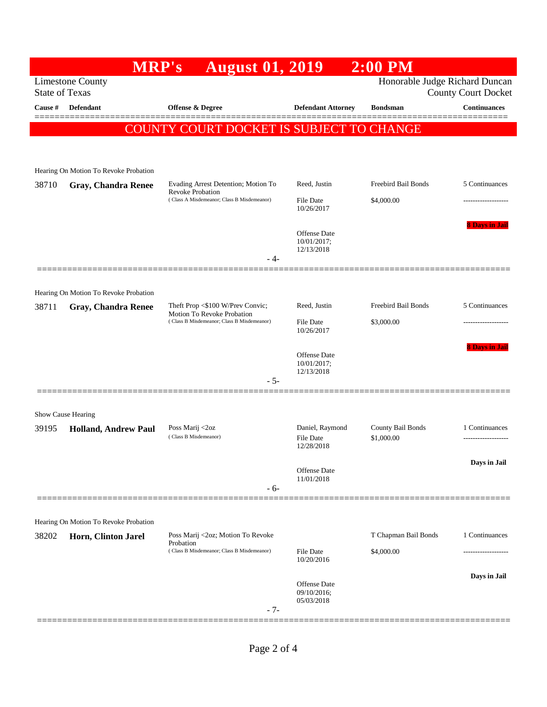|                       | <b>MRP's</b>                                                        | <b>August 01, 2019</b>                                                   |                                                  | $2:00$ PM                       |                            |
|-----------------------|---------------------------------------------------------------------|--------------------------------------------------------------------------|--------------------------------------------------|---------------------------------|----------------------------|
| <b>State of Texas</b> | <b>Limestone County</b>                                             |                                                                          |                                                  | Honorable Judge Richard Duncan  | <b>County Court Docket</b> |
| Cause #               | <b>Defendant</b>                                                    | <b>Offense &amp; Degree</b>                                              | <b>Defendant Attorney</b>                        | <b>Bondsman</b>                 | <b>Continuances</b>        |
|                       | COUN                                                                | ' COURT DOCKET IS SUBJECT TO CHANGE                                      |                                                  |                                 |                            |
|                       |                                                                     |                                                                          |                                                  |                                 |                            |
|                       | Hearing On Motion To Revoke Probation                               |                                                                          |                                                  |                                 |                            |
| 38710                 | <b>Gray, Chandra Renee</b>                                          | Evading Arrest Detention; Motion To<br><b>Revoke Probation</b>           | Reed, Justin                                     | Freebird Bail Bonds             | 5 Continuances             |
|                       |                                                                     | (Class A Misdemeanor; Class B Misdemeanor)                               | <b>File Date</b><br>10/26/2017                   | \$4,000.00                      |                            |
|                       |                                                                     |                                                                          | <b>Offense Date</b><br>10/01/2017;<br>12/13/2018 |                                 | <b>8 Days in Jai</b>       |
|                       |                                                                     | - 4-                                                                     |                                                  |                                 |                            |
|                       |                                                                     |                                                                          |                                                  |                                 |                            |
| 38711                 | Hearing On Motion To Revoke Probation<br><b>Gray, Chandra Renee</b> | Theft Prop <\$100 W/Prev Convic;                                         | Reed, Justin                                     | Freebird Bail Bonds             | 5 Continuances             |
|                       |                                                                     | Motion To Revoke Probation<br>(Class B Misdemeanor; Class B Misdemeanor) | <b>File Date</b><br>10/26/2017                   | \$3,000.00                      |                            |
|                       |                                                                     | $-5-$                                                                    | <b>Offense Date</b><br>10/01/2017;<br>12/13/2018 |                                 | 8 Days in Jail             |
|                       |                                                                     |                                                                          |                                                  |                                 |                            |
|                       | Show Cause Hearing                                                  |                                                                          |                                                  |                                 |                            |
| 39195                 | <b>Holland, Andrew Paul</b>                                         | Poss Marij <2oz<br>(Class B Misdemeanor)                                 | Daniel, Raymond<br>File Date<br>12/28/2018       | County Bail Bonds<br>\$1,000.00 | 1 Continuances<br>.        |
|                       |                                                                     | $-6-$                                                                    | Offense Date<br>11/01/2018                       |                                 | Days in Jail               |
|                       |                                                                     |                                                                          |                                                  |                                 |                            |
|                       | Hearing On Motion To Revoke Probation                               |                                                                          |                                                  |                                 |                            |
| 38202                 | Horn, Clinton Jarel                                                 | Poss Marij <2oz; Motion To Revoke<br>Probation                           |                                                  | T Chapman Bail Bonds            | 1 Continuances             |
|                       |                                                                     | (Class B Misdemeanor; Class B Misdemeanor)                               | File Date<br>10/20/2016                          | \$4,000.00                      |                            |
|                       |                                                                     |                                                                          | <b>Offense Date</b><br>09/10/2016;<br>05/03/2018 |                                 | Days in Jail               |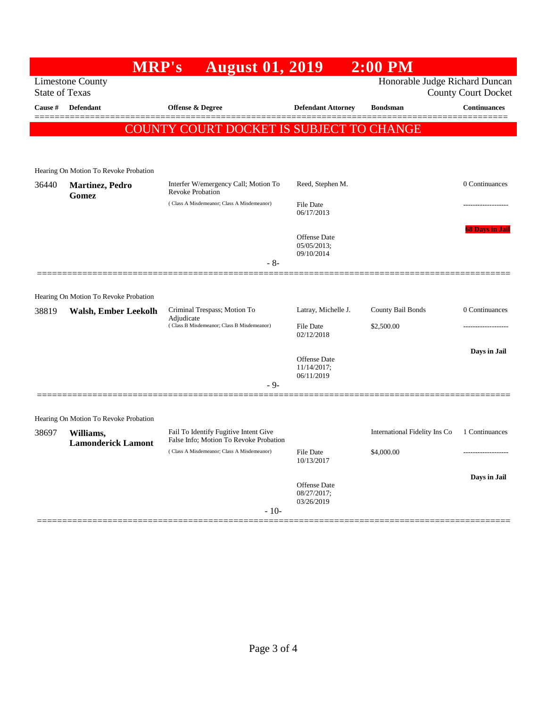|                                                     | <b>MRP's</b>                                                         | <b>August 01, 2019</b>                                          |                                    | $2:00$ PM                      |                        |
|-----------------------------------------------------|----------------------------------------------------------------------|-----------------------------------------------------------------|------------------------------------|--------------------------------|------------------------|
|                                                     | <b>Limestone County</b>                                              |                                                                 |                                    | Honorable Judge Richard Duncan |                        |
| <b>State of Texas</b><br><b>County Court Docket</b> |                                                                      |                                                                 |                                    |                                |                        |
| Cause #                                             | <b>Defendant</b>                                                     | <b>Offense &amp; Degree</b>                                     | <b>Defendant Attorney</b>          | <b>Bondsman</b>                | Continuances           |
|                                                     |                                                                      | COUNTY COURT DOCKET IS SUBJECT TO CHANGE                        |                                    |                                |                        |
|                                                     |                                                                      |                                                                 |                                    |                                |                        |
|                                                     |                                                                      |                                                                 |                                    |                                |                        |
|                                                     | Hearing On Motion To Revoke Probation                                |                                                                 |                                    |                                |                        |
| 36440                                               | <b>Martinez</b> , Pedro<br>Gomez                                     | Interfer W/emergency Call; Motion To<br><b>Revoke Probation</b> | Reed, Stephen M.                   |                                | 0 Continuances         |
|                                                     |                                                                      | (Class A Misdemeanor; Class A Misdemeanor)                      | <b>File Date</b><br>06/17/2013     |                                |                        |
|                                                     |                                                                      |                                                                 | <b>Offense Date</b>                |                                | <b>68 Days in Jail</b> |
|                                                     |                                                                      |                                                                 | 05/05/2013;                        |                                |                        |
|                                                     |                                                                      | $-8-$                                                           | 09/10/2014                         |                                |                        |
|                                                     |                                                                      |                                                                 |                                    |                                |                        |
|                                                     |                                                                      |                                                                 |                                    |                                |                        |
| 38819                                               | Hearing On Motion To Revoke Probation<br><b>Walsh, Ember Leekolh</b> | Criminal Trespass; Motion To                                    | Latray, Michelle J.                | County Bail Bonds              | 0 Continuances         |
|                                                     |                                                                      | Adjudicate<br>(Class B Misdemeanor; Class B Misdemeanor)        | <b>File Date</b>                   | \$2,500.00                     |                        |
|                                                     |                                                                      |                                                                 | 02/12/2018                         |                                |                        |
|                                                     |                                                                      |                                                                 |                                    |                                | Days in Jail           |
|                                                     |                                                                      |                                                                 | <b>Offense Date</b><br>11/14/2017; |                                |                        |
|                                                     |                                                                      | - 9-                                                            | 06/11/2019                         |                                |                        |
|                                                     |                                                                      |                                                                 |                                    |                                |                        |
|                                                     | Hearing On Motion To Revoke Probation                                |                                                                 |                                    |                                |                        |
| 38697                                               | Williams,                                                            | Fail To Identify Fugitive Intent Give                           |                                    | International Fidelity Ins Co  | 1 Continuances         |
|                                                     | <b>Lamonderick Lamont</b>                                            | False Info; Motion To Revoke Probation                          |                                    |                                |                        |
|                                                     |                                                                      | (Class A Misdemeanor; Class A Misdemeanor)                      | <b>File Date</b><br>10/13/2017     | \$4,000.00                     | -------------------    |
|                                                     |                                                                      |                                                                 |                                    |                                | Days in Jail           |
|                                                     |                                                                      |                                                                 | Offense Date<br>08/27/2017;        |                                |                        |
|                                                     |                                                                      | $-10-$                                                          | 03/26/2019                         |                                |                        |
|                                                     |                                                                      |                                                                 |                                    |                                |                        |